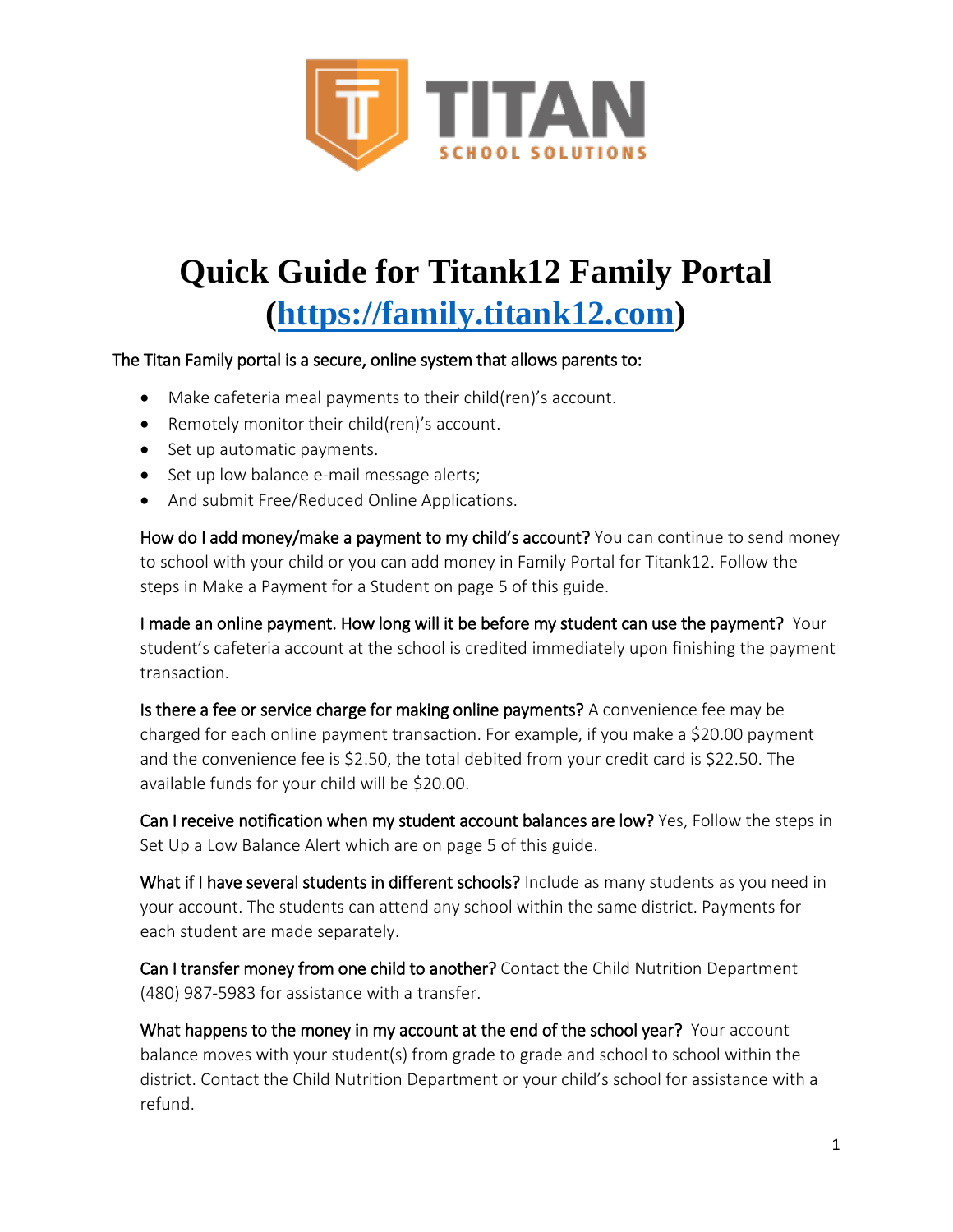

# **Quick Guide for Titank12 Family Portal [\(https://family.titank12.com\)](https://family.titank12.com/)**

#### The Titan Family portal is a secure, online system that allows parents to:

- Make cafeteria meal payments to their child(ren)'s account.
- Remotely monitor their child(ren)'s account.
- Set up automatic payments.
- Set up low balance e-mail message alerts;
- And submit Free/Reduced Online Applications.

How do I add money/make a payment to my child's account? You can continue to send money to school with your child or you can add money in Family Portal for Titank12. Follow the steps in Make a Payment for a Student on page 5 of this guide.

I made an online payment. How long will it be before my student can use the payment? Your student's cafeteria account at the school is credited immediately upon finishing the payment transaction.

Is there a fee or service charge for making online payments? A convenience fee may be charged for each online payment transaction. For example, if you make a \$20.00 payment and the convenience fee is \$2.50, the total debited from your credit card is \$22.50. The available funds for your child will be \$20.00.

Can I receive notification when my student account balances are low? Yes, Follow the steps in Set Up a Low Balance Alert which are on page 5 of this guide.

What if I have several students in different schools? Include as many students as you need in your account. The students can attend any school within the same district. Payments for each student are made separately.

Can I transfer money from one child to another? Contact the Child Nutrition Department (480) 987-5983 for assistance with a transfer.

What happens to the money in my account at the end of the school year? Your account balance moves with your student(s) from grade to grade and school to school within the district. Contact the Child Nutrition Department or your child's school for assistance with a refund.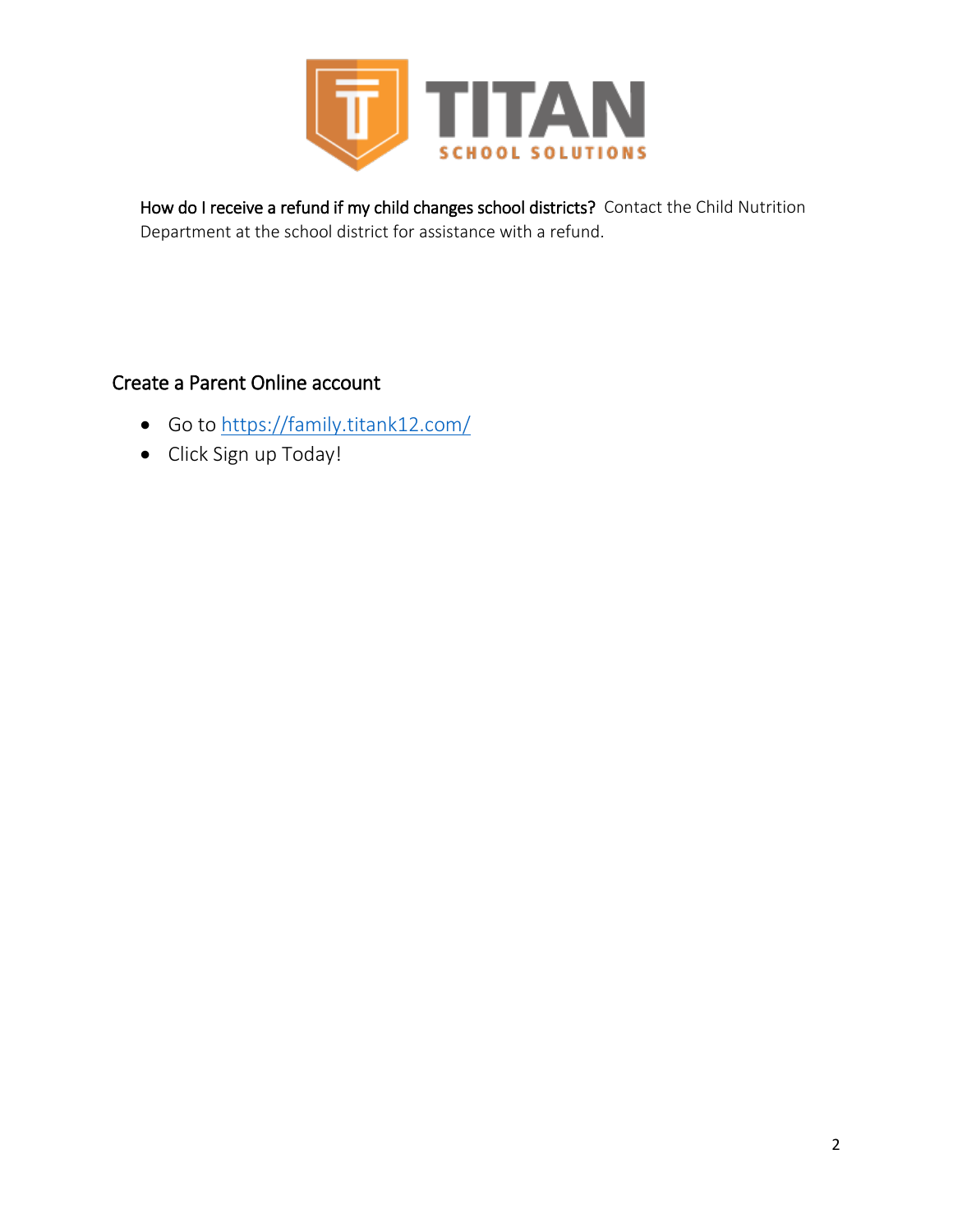

How do I receive a refund if my child changes school districts? Contact the Child Nutrition Department at the school district for assistance with a refund.

## Create a Parent Online account

- Go to<https://family.titank12.com/>
- Click Sign up Today!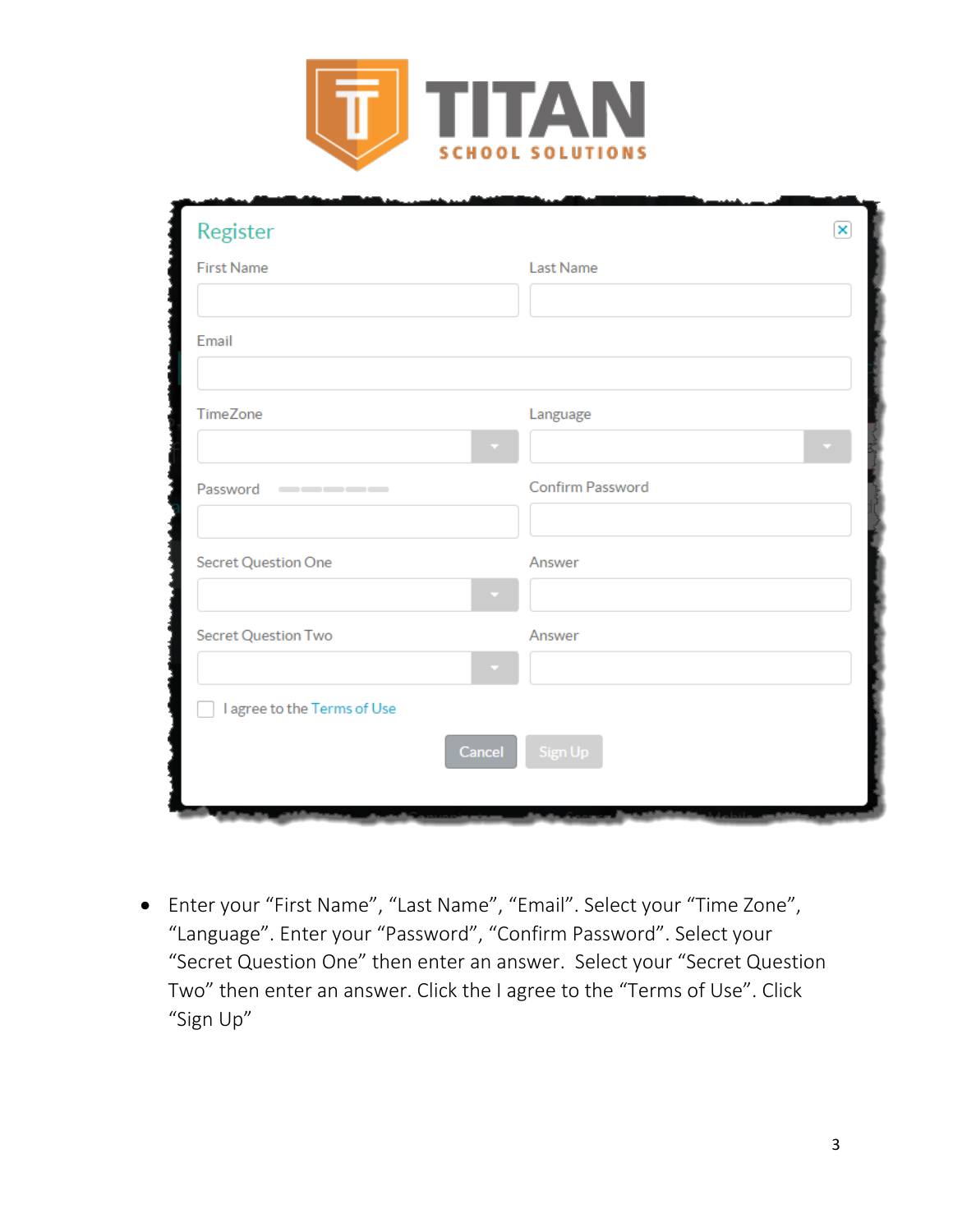

| Register                                                                                             |        |                  | $\overline{\mathbf{x}}$ |
|------------------------------------------------------------------------------------------------------|--------|------------------|-------------------------|
| <b>First Name</b>                                                                                    |        | Last Name        |                         |
|                                                                                                      |        |                  |                         |
| Email                                                                                                |        |                  |                         |
|                                                                                                      |        |                  |                         |
| TimeZone                                                                                             |        | Language         |                         |
|                                                                                                      |        |                  |                         |
| Password<br>$\qquad \qquad \blacksquare \qquad \blacksquare \qquad \blacksquare \qquad \blacksquare$ |        | Confirm Password |                         |
|                                                                                                      |        |                  |                         |
| Secret Question One                                                                                  |        | Answer           |                         |
|                                                                                                      |        |                  |                         |
| Secret Question Two                                                                                  |        | Answer           |                         |
|                                                                                                      |        |                  |                         |
| I agree to the Terms of Use                                                                          |        |                  |                         |
|                                                                                                      | Cancel | Sign Up          |                         |
|                                                                                                      |        |                  |                         |
|                                                                                                      |        |                  |                         |

 Enter your "First Name", "Last Name", "Email". Select your "Time Zone", "Language". Enter your "Password", "Confirm Password". Select your "Secret Question One" then enter an answer. Select your "Secret Question Two" then enter an answer. Click the I agree to the "Terms of Use". Click "Sign Up"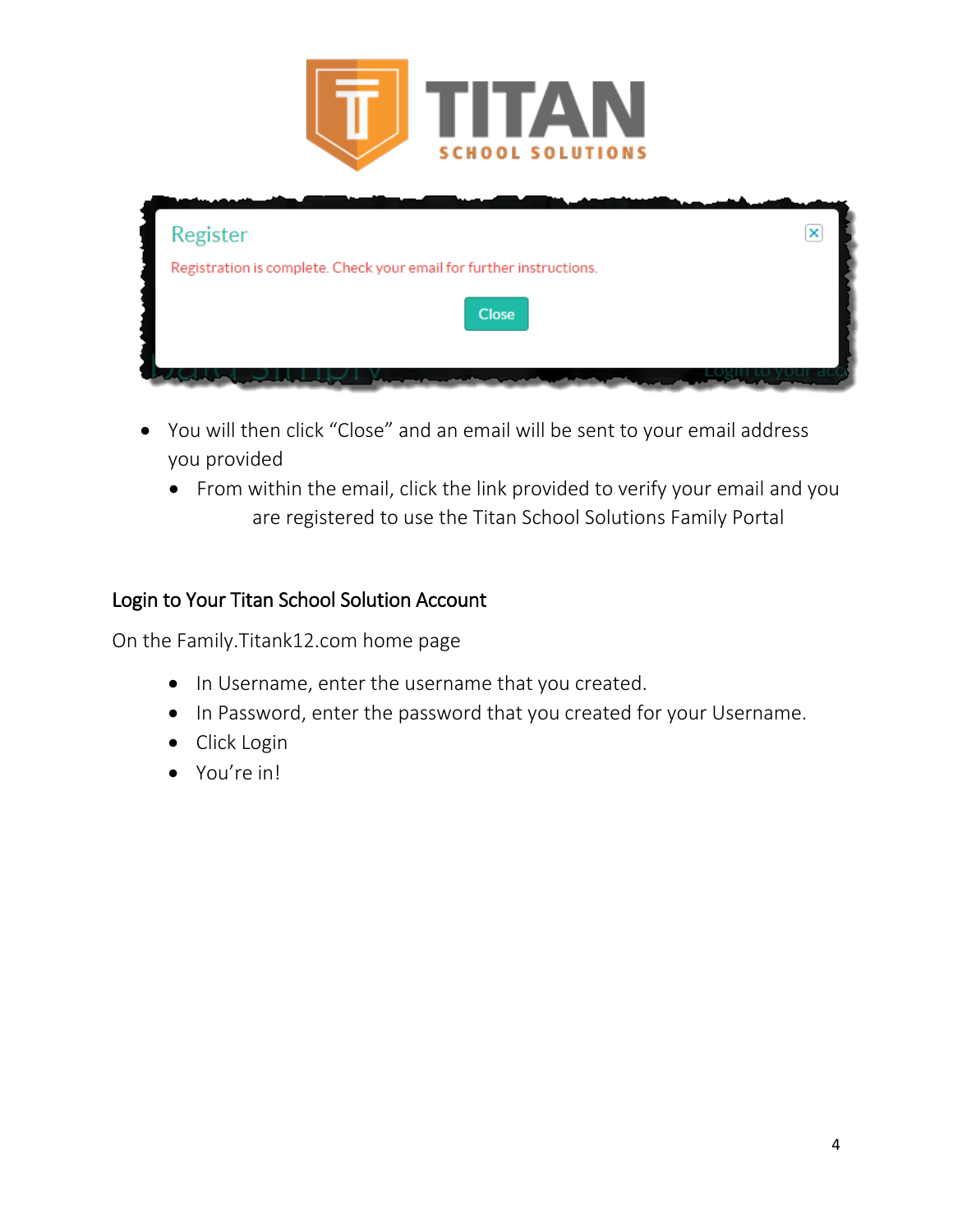

| Register                                                             | × |
|----------------------------------------------------------------------|---|
| Registration is complete. Check your email for further instructions. |   |
| Close                                                                |   |
|                                                                      |   |

- You will then click "Close" and an email will be sent to your email address you provided
	- From within the email, click the link provided to verify your email and you are registered to use the Titan School Solutions Family Portal

## Login to Your Titan School Solution Account

On the Family.Titank12.com home page

- In Username, enter the username that you created.
- In Password, enter the password that you created for your Username.
- Click Login
- You're in!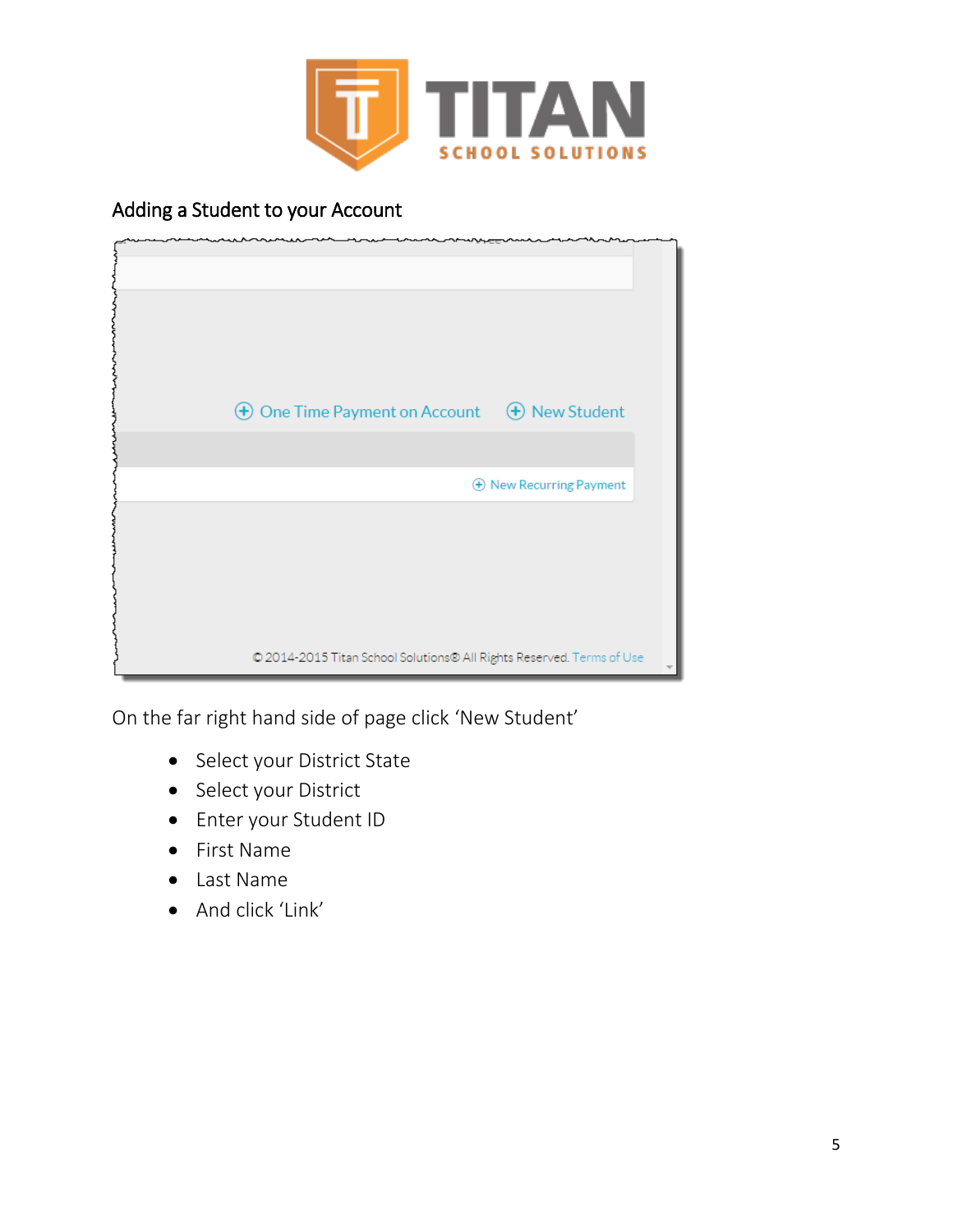

## Adding a Student to your Account

| $\bigoplus$ One Time Payment on Account $\bigoplus$ New Student       |                                  |
|-----------------------------------------------------------------------|----------------------------------|
|                                                                       |                                  |
|                                                                       |                                  |
|                                                                       | <b>(+)</b> New Recurring Payment |
|                                                                       |                                  |
|                                                                       |                                  |
|                                                                       |                                  |
|                                                                       |                                  |
|                                                                       |                                  |
|                                                                       |                                  |
|                                                                       |                                  |
| © 2014-2015 Titan School Solutions® All Rights Reserved. Terms of Use |                                  |

On the far right hand side of page click 'New Student'

- Select your District State
- Select your District
- Enter your Student ID
- First Name
- Last Name
- And click 'Link'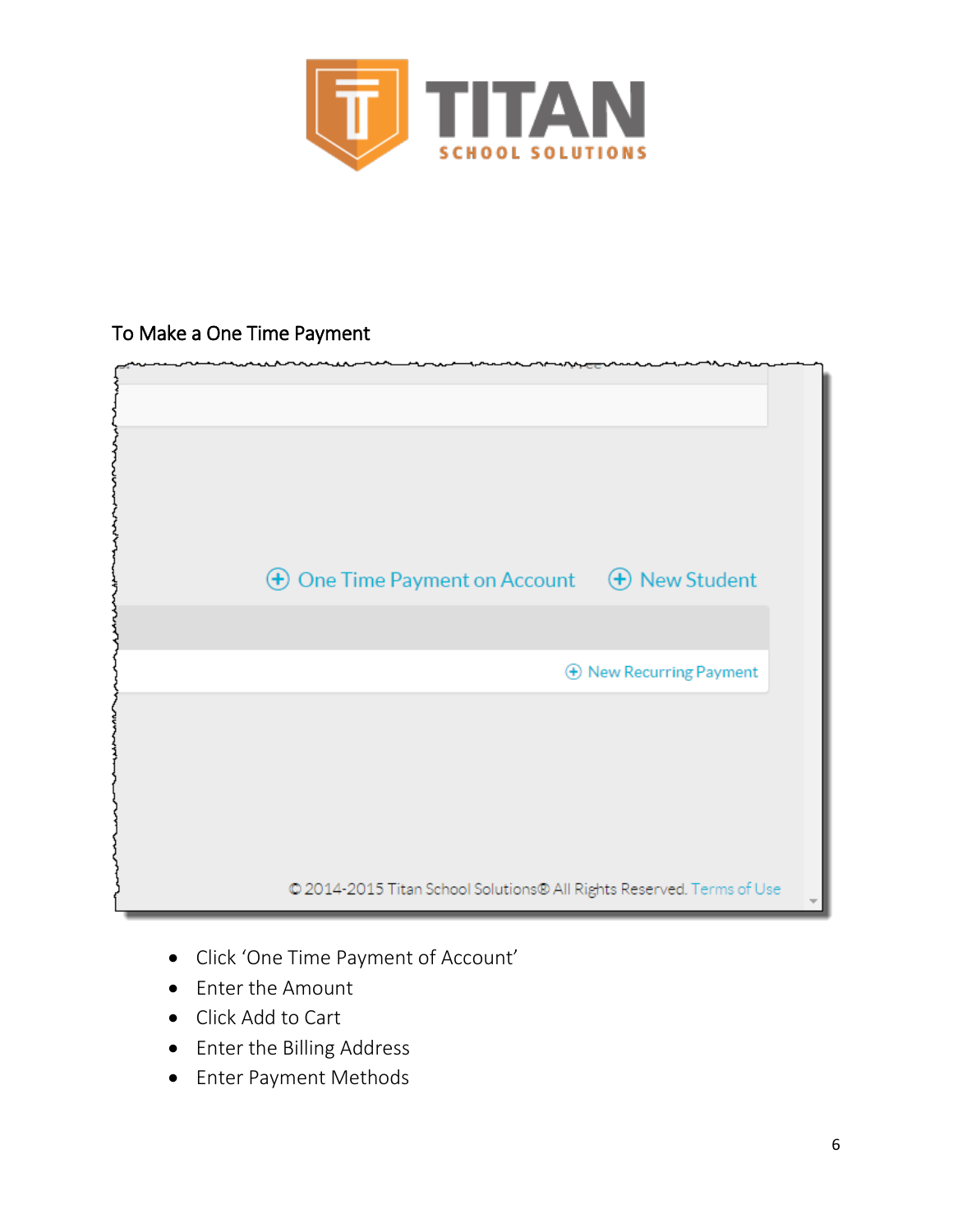

## To Make a One Time Payment



- Click 'One Time Payment of Account'
- Enter the Amount
- Click Add to Cart
- Enter the Billing Address
- Enter Payment Methods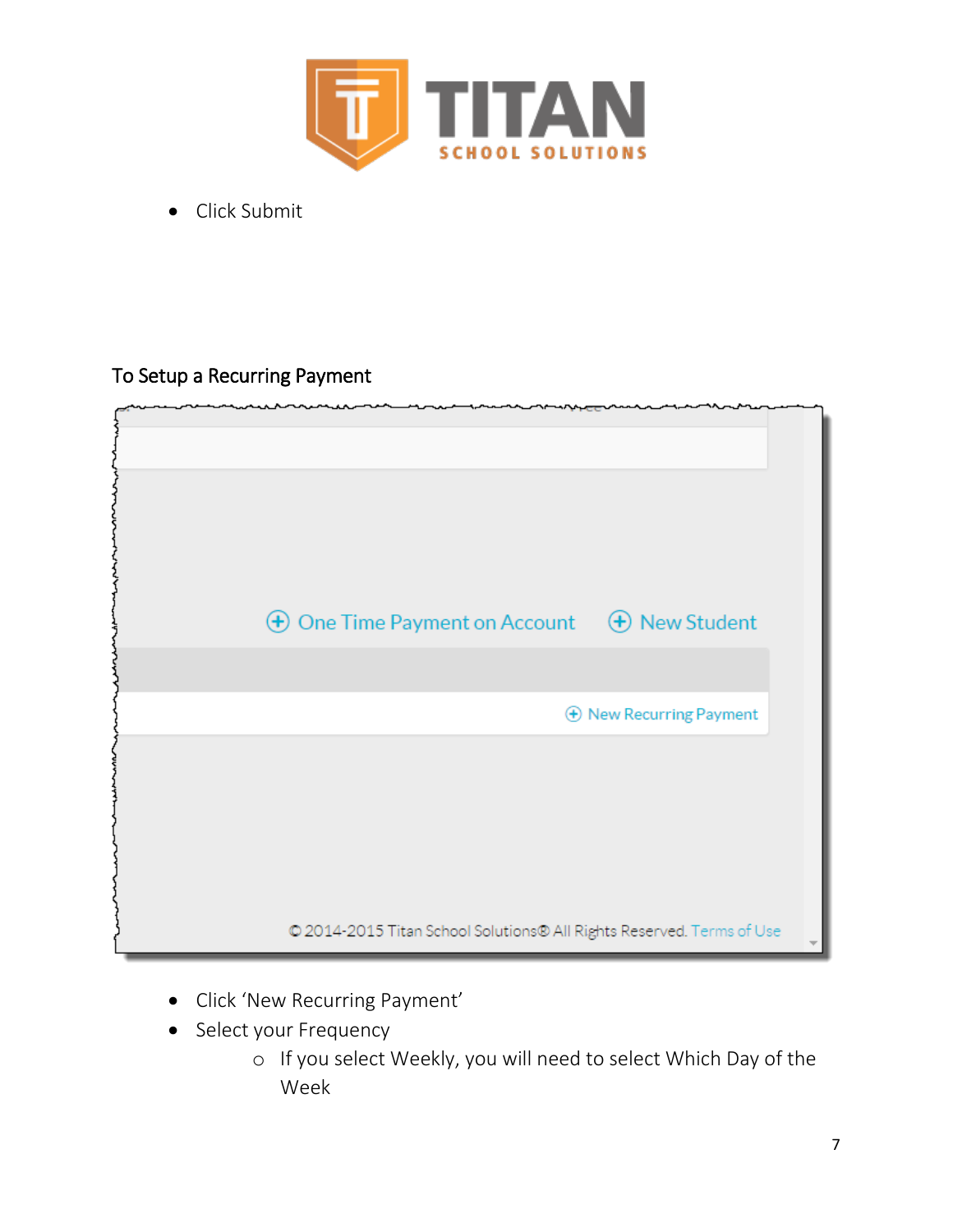

• Click Submit

## To Setup a Recurring Payment



- Click 'New Recurring Payment'
- Select your Frequency
	- o If you select Weekly, you will need to select Which Day of the Week